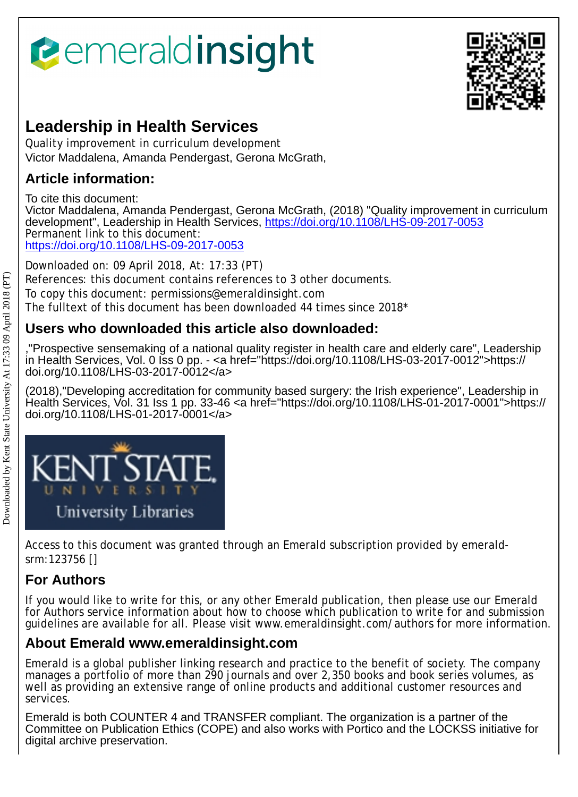# *<u><b>emeraldinsight</u>*



## **Leadership in Health Services**

Quality improvement in curriculum development Victor Maddalena, Amanda Pendergast, Gerona McGrath,

## **Article information:**

To cite this document: Victor Maddalena, Amanda Pendergast, Gerona McGrath, (2018) "Quality improvement in curriculum development", Leadership in Health Services,<https://doi.org/10.1108/LHS-09-2017-0053> Permanent link to this document: <https://doi.org/10.1108/LHS-09-2017-0053>

Downloaded on: 09 April 2018, At: 17:33 (PT) References: this document contains references to 3 other documents. To copy this document: permissions@emeraldinsight.com The fulltext of this document has been downloaded 44 times since 2018\*

## **Users who downloaded this article also downloaded:**

,"Prospective sensemaking of a national quality register in health care and elderly care", Leadership in Health Services, Vol. 0 Iss 0 pp. - <a href="https://doi.org/10.1108/LHS-03-2017-0012">https:// doi.org/10.1108/LHS-03-2017-0012</a>

(2018),"Developing accreditation for community based surgery: the Irish experience", Leadership in Health Services, Vol. 31 Iss 1 pp. 33-46 <a href="https://doi.org/10.1108/LHS-01-2017-0001">https:// doi.org/10.1108/LHS-01-2017-0001</a>



Access to this document was granted through an Emerald subscription provided by emeraldsrm:123756 []

## **For Authors**

If you would like to write for this, or any other Emerald publication, then please use our Emerald for Authors service information about how to choose which publication to write for and submission guidelines are available for all. Please visit www.emeraldinsight.com/authors for more information.

### **About Emerald www.emeraldinsight.com**

Emerald is a global publisher linking research and practice to the benefit of society. The company manages a portfolio of more than 290 journals and over 2,350 books and book series volumes, as well as providing an extensive range of online products and additional customer resources and services.

Emerald is both COUNTER 4 and TRANSFER compliant. The organization is a partner of the Committee on Publication Ethics (COPE) and also works with Portico and the LOCKSS initiative for digital archive preservation.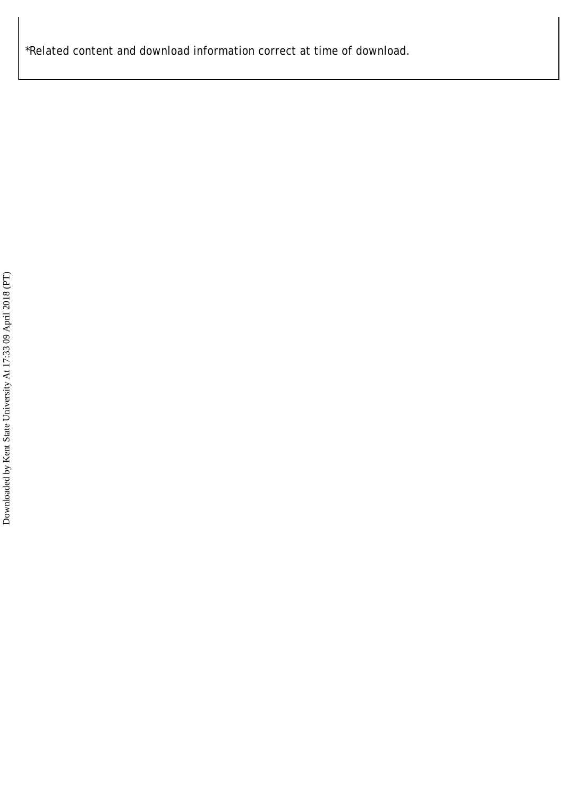\*Related content and download information correct at time of download.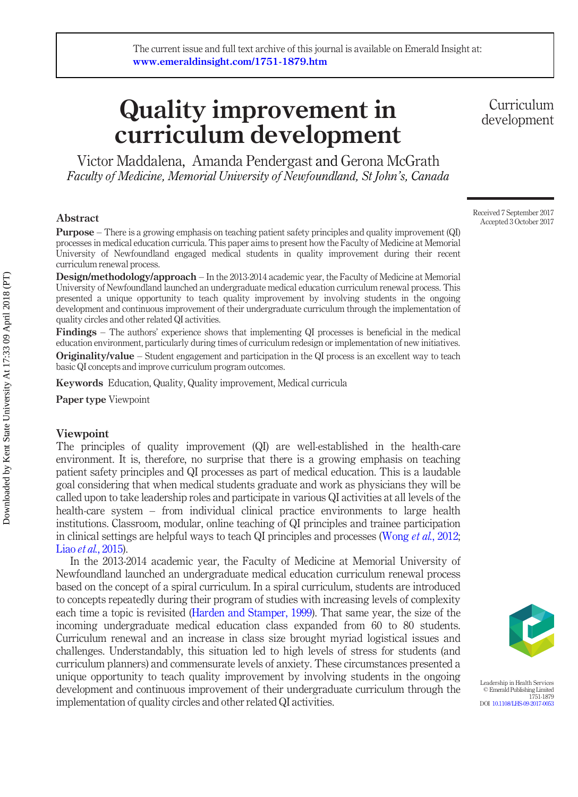## Quality improvement in curriculum development

Victor Maddalena, Amanda Pendergast and Gerona McGrath Faculty of Medicine, Memorial University of Newfoundland, St John's, Canada

#### Abstract

**Purpose** – There is a growing emphasis on teaching patient safety principles and quality improvement (QI) processes in medical education curricula. This paper aims to present how the Faculty of Medicine at Memorial University of Newfoundland engaged medical students in quality improvement during their recent curriculum renewal process.

Design/methodology/approach – In the 2013-2014 academic year, the Faculty of Medicine at Memorial University of Newfoundland launched an undergraduate medical education curriculum renewal process. This presented a unique opportunity to teach quality improvement by involving students in the ongoing development and continuous improvement of their undergraduate curriculum through the implementation of quality circles and other related QI activities.

**Findings** – The authors' experience shows that implementing QI processes is beneficial in the medical education environment, particularly during times of curriculum redesign or implementation of new initiatives. **Originality/value** – Student engagement and participation in the QI process is an excellent way to teach basic QI concepts and improve curriculum program outcomes.

Keywords Education, Quality, Quality improvement, Medical curricula

Paper type Viewpoint

#### Viewpoint

The principles of quality improvement (QI) are well-established in the health-care environment. It is, therefore, no surprise that there is a growing emphasis on teaching patient safety principles and QI processes as part of medical education. This is a laudable goal considering that when medical students graduate and work as physicians they will be called upon to take leadership roles and participate in various QI activities at all levels of the health-care system – from individual clinical practice environments to large health institutions. Classroom, modular, online teaching of QI principles and trainee participation in clinical settings are helpful ways to teach QI principles and processes [\(Wong](#page-5-0) *et al.*, 2012; Liao *et al.*[, 2015\)](#page-5-1).

In the 2013-2014 academic year, the Faculty of Medicine at Memorial University of Newfoundland launched an undergraduate medical education curriculum renewal process based on the concept of a spiral curriculum. In a spiral curriculum, students are introduced to concepts repeatedly during their program of studies with increasing levels of complexity each time a topic is revisited ([Harden and Stamper, 1999](#page-5-2)). That same year, the size of the incoming undergraduate medical education class expanded from 60 to 80 students. Curriculum renewal and an increase in class size brought myriad logistical issues and challenges. Understandably, this situation led to high levels of stress for students (and curriculum planners) and commensurate levels of anxiety. These circumstances presented a unique opportunity to teach quality improvement by involving students in the ongoing development and continuous improvement of their undergraduate curriculum through the implementation of quality circles and other related QI activities.

Leadership in Health Services © Emerald Publishing Limited 1751-1879 DOI [10.1108/LHS-09-2017-0053](http://dx.doi.org/10.1108/LHS-09-2017-0053)

Received 7 September 2017 Accepted 3 October 2017

Curriculum development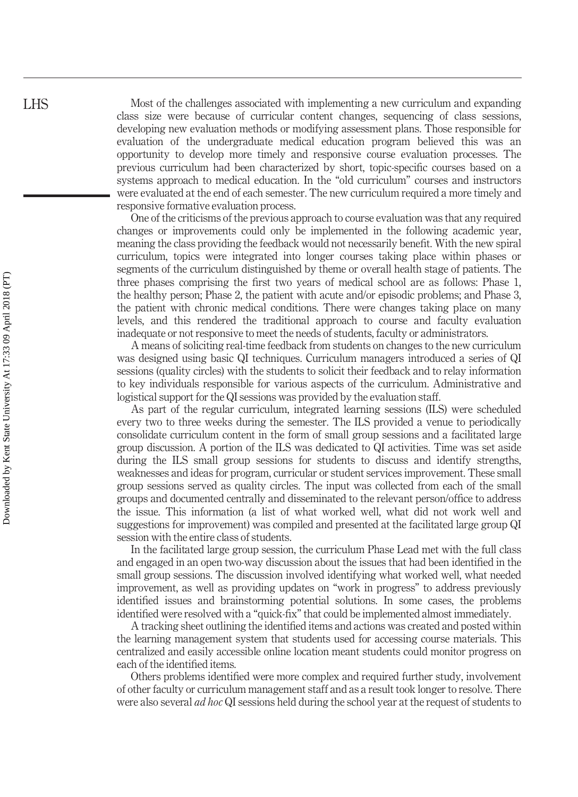Most of the challenges associated with implementing a new curriculum and expanding class size were because of curricular content changes, sequencing of class sessions, developing new evaluation methods or modifying assessment plans. Those responsible for evaluation of the undergraduate medical education program believed this was an opportunity to develop more timely and responsive course evaluation processes. The previous curriculum had been characterized by short, topic-specific courses based on a systems approach to medical education. In the "old curriculum" courses and instructors were evaluated at the end of each semester. The new curriculum required a more timely and responsive formative evaluation process.

One of the criticisms of the previous approach to course evaluation was that any required changes or improvements could only be implemented in the following academic year, meaning the class providing the feedback would not necessarily benefit. With the new spiral curriculum, topics were integrated into longer courses taking place within phases or segments of the curriculum distinguished by theme or overall health stage of patients. The three phases comprising the first two years of medical school are as follows: Phase 1, the healthy person; Phase 2, the patient with acute and/or episodic problems; and Phase 3, the patient with chronic medical conditions. There were changes taking place on many levels, and this rendered the traditional approach to course and faculty evaluation inadequate or not responsive to meet the needs of students, faculty or administrators.

A means of soliciting real-time feedback from students on changes to the new curriculum was designed using basic QI techniques. Curriculum managers introduced a series of QI sessions (quality circles) with the students to solicit their feedback and to relay information to key individuals responsible for various aspects of the curriculum. Administrative and logistical support for the QI sessions was provided by the evaluation staff.

As part of the regular curriculum, integrated learning sessions (ILS) were scheduled every two to three weeks during the semester. The ILS provided a venue to periodically consolidate curriculum content in the form of small group sessions and a facilitated large group discussion. A portion of the ILS was dedicated to QI activities. Time was set aside during the ILS small group sessions for students to discuss and identify strengths, weaknesses and ideas for program, curricular or student services improvement. These small group sessions served as quality circles. The input was collected from each of the small groups and documented centrally and disseminated to the relevant person/office to address the issue. This information (a list of what worked well, what did not work well and suggestions for improvement) was compiled and presented at the facilitated large group QI session with the entire class of students.

In the facilitated large group session, the curriculum Phase Lead met with the full class and engaged in an open two-way discussion about the issues that had been identified in the small group sessions. The discussion involved identifying what worked well, what needed improvement, as well as providing updates on "work in progress" to address previously identified issues and brainstorming potential solutions. In some cases, the problems identified were resolved with a "quick-fix" that could be implemented almost immediately.

A tracking sheet outlining the identified items and actions was created and posted within the learning management system that students used for accessing course materials. This centralized and easily accessible online location meant students could monitor progress on each of the identified items.

Others problems identified were more complex and required further study, involvement of other faculty or curriculum management staff and as a result took longer to resolve. There were also several *ad hoc* QI sessions held during the school year at the request of students to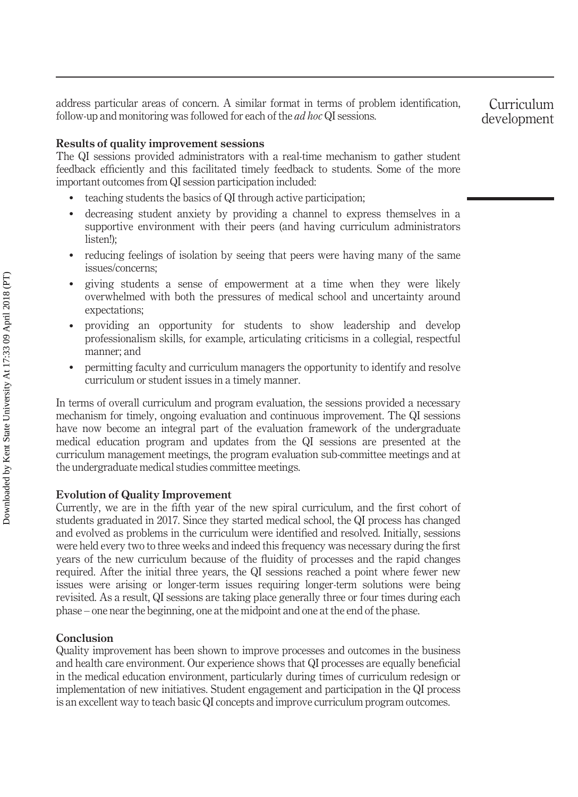address particular areas of concern. A similar format in terms of problem identification, follow-up and monitoring was followed for each of the *ad hoc* QI sessions.

Curriculum development

#### Results of quality improvement sessions

The QI sessions provided administrators with a real-time mechanism to gather student feedback efficiently and this facilitated timely feedback to students. Some of the more important outcomes from QI session participation included:

- teaching students the basics of QI through active participation;
- decreasing student anxiety by providing a channel to express themselves in a supportive environment with their peers (and having curriculum administrators listen!);
- reducing feelings of isolation by seeing that peers were having many of the same issues/concerns;
- giving students a sense of empowerment at a time when they were likely overwhelmed with both the pressures of medical school and uncertainty around expectations;
- providing an opportunity for students to show leadership and develop professionalism skills, for example, articulating criticisms in a collegial, respectful manner; and
- permitting faculty and curriculum managers the opportunity to identify and resolve curriculum or student issues in a timely manner.

In terms of overall curriculum and program evaluation, the sessions provided a necessary mechanism for timely, ongoing evaluation and continuous improvement. The QI sessions have now become an integral part of the evaluation framework of the undergraduate medical education program and updates from the QI sessions are presented at the curriculum management meetings, the program evaluation sub-committee meetings and at the undergraduate medical studies committee meetings.

#### Evolution of Quality Improvement

Currently, we are in the fifth year of the new spiral curriculum, and the first cohort of students graduated in 2017. Since they started medical school, the QI process has changed and evolved as problems in the curriculum were identified and resolved. Initially, sessions were held every two to three weeks and indeed this frequency was necessary during the first years of the new curriculum because of the fluidity of processes and the rapid changes required. After the initial three years, the QI sessions reached a point where fewer new issues were arising or longer-term issues requiring longer-term solutions were being revisited. As a result, QI sessions are taking place generally three or four times during each phase – one near the beginning, one at the midpoint and one at the end of the phase.

#### Conclusion

Quality improvement has been shown to improve processes and outcomes in the business and health care environment. Our experience shows that QI processes are equally beneficial in the medical education environment, particularly during times of curriculum redesign or implementation of new initiatives. Student engagement and participation in the QI process is an excellent way to teach basic QI concepts and improve curriculum program outcomes.